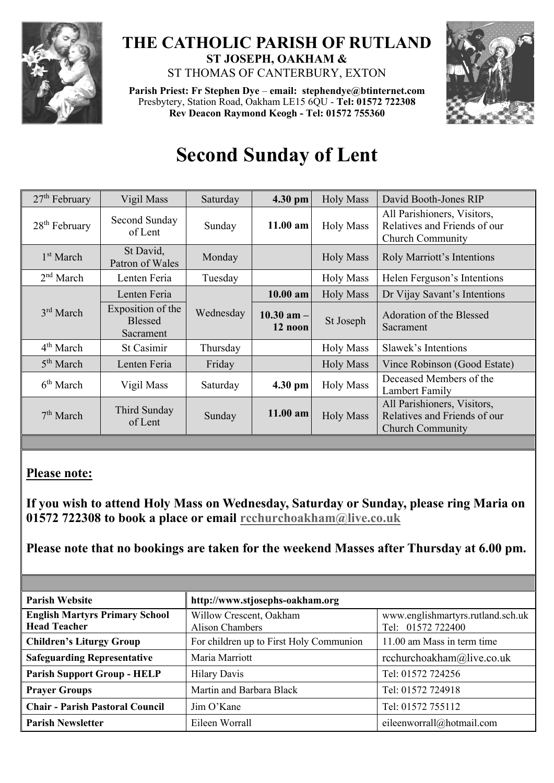

## **THE CATHOLIC PARISH OF RUTLAND ST JOSEPH, OAKHAM &**  ST THOMAS OF CANTERBURY, EXTON

**Parish Priest: Fr Stephen Dye** – **[email: stephendye@btinternet.com](mailto:email:%20%20stephendye@btinternet.com)** Presbytery, Station Road, Oakham LE15 6QU - **Tel: 01572 722308 Rev Deacon Raymond Keogh - Tel: 01572 755360**



## **Second Sunday of Lent**

| 27 <sup>th</sup> February | Vigil Mass                                       | Saturday  | 4.30 pm                   | <b>Holy Mass</b> | David Booth-Jones RIP                                                                  |
|---------------------------|--------------------------------------------------|-----------|---------------------------|------------------|----------------------------------------------------------------------------------------|
| $28th$ February           | Second Sunday<br>of Lent                         | Sunday    | $11.00$ am                | <b>Holy Mass</b> | All Parishioners, Visitors,<br>Relatives and Friends of our<br><b>Church Community</b> |
| 1 <sup>st</sup> March     | St David,<br>Patron of Wales                     | Monday    |                           | <b>Holy Mass</b> | Roly Marriott's Intentions                                                             |
| 2 <sup>nd</sup> March     | Lenten Feria                                     | Tuesday   |                           | <b>Holy Mass</b> | Helen Ferguson's Intentions                                                            |
| $3rd$ March               | Lenten Feria                                     | Wednesday | $10.00$ am                | <b>Holy Mass</b> | Dr Vijay Savant's Intentions                                                           |
|                           | Exposition of the<br><b>Blessed</b><br>Sacrament |           | $10.30$ am $-$<br>12 noon | St Joseph        | Adoration of the Blessed<br>Sacrament                                                  |
| 4 <sup>th</sup> March     | St Casimir                                       | Thursday  |                           | <b>Holy Mass</b> | Slawek's Intentions                                                                    |
| 5 <sup>th</sup> March     | Lenten Feria                                     | Friday    |                           | <b>Holy Mass</b> | Vince Robinson (Good Estate)                                                           |
| 6 <sup>th</sup> March     | Vigil Mass                                       | Saturday  | 4.30 pm                   | <b>Holy Mass</b> | Deceased Members of the<br>Lambert Family                                              |
| 7 <sup>th</sup> March     | Third Sunday<br>of Lent                          | Sunday    | 11.00 am                  | <b>Holy Mass</b> | All Parishioners, Visitors,<br>Relatives and Friends of our<br><b>Church Community</b> |

## **Please note:**

**If you wish to attend Holy Mass on Wednesday, Saturday or Sunday, please ring Maria on 01572 722308 to book a place or email [rcchurchoakham@live.co.uk](mailto:rcchurchoakham@live.co.uk)**

**Please note that no bookings are taken for the weekend Masses after Thursday at 6.00 pm.**

| <b>Parish Website</b>                                        | http://www.stjosephs-oakham.org            |                                                        |  |  |
|--------------------------------------------------------------|--------------------------------------------|--------------------------------------------------------|--|--|
| <b>English Martyrs Primary School</b><br><b>Head Teacher</b> | Willow Crescent, Oakham<br>Alison Chambers | www.englishmartyrs.rutland.sch.uk<br>Tel: 01572 722400 |  |  |
| <b>Children's Liturgy Group</b>                              | For children up to First Holy Communion    | 11.00 am Mass in term time                             |  |  |
| <b>Safeguarding Representative</b>                           | Maria Marriott                             | rcchurchoakham@live.co.uk                              |  |  |
| <b>Parish Support Group - HELP</b>                           | <b>Hilary Davis</b>                        | Tel: 01572 724256                                      |  |  |
| <b>Prayer Groups</b>                                         | Martin and Barbara Black                   | Tel: 01572 724918                                      |  |  |
| <b>Chair - Parish Pastoral Council</b>                       | Jim O'Kane                                 | Tel: 01572 755112                                      |  |  |
| <b>Parish Newsletter</b>                                     | Eileen Worrall                             | eileenworrall@hotmail.com                              |  |  |